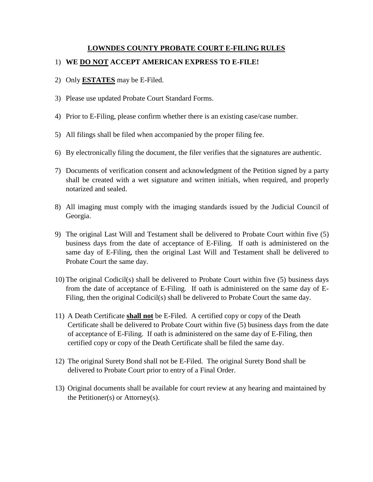## **LOWNDES COUNTY PROBATE COURT E-FILING RULES**

## 1) **WE DO NOT ACCEPT AMERICAN EXPRESS TO E-FILE!**

- 2) Only **ESTATES** may be E-Filed.
- 3) Please use updated Probate Court Standard Forms.
- 4) Prior to E-Filing, please confirm whether there is an existing case/case number.
- 5) All filings shall be filed when accompanied by the proper filing fee.
- 6) By electronically filing the document, the filer verifies that the signatures are authentic.
- 7) Documents of verification consent and acknowledgment of the Petition signed by a party shall be created with a wet signature and written initials, when required, and properly notarized and sealed.
- 8) All imaging must comply with the imaging standards issued by the Judicial Council of Georgia.
- 9) The original Last Will and Testament shall be delivered to Probate Court within five (5) business days from the date of acceptance of E-Filing. If oath is administered on the same day of E-Filing, then the original Last Will and Testament shall be delivered to Probate Court the same day.
- 10) The original Codicil(s) shall be delivered to Probate Court within five (5) business days from the date of acceptance of E-Filing. If oath is administered on the same day of E-Filing, then the original Codicil(s) shall be delivered to Probate Court the same day.
- 11) A Death Certificate **shall not** be E-Filed. A certified copy or copy of the Death Certificate shall be delivered to Probate Court within five (5) business days from the date of acceptance of E-Filing. If oath is administered on the same day of E-Filing, then certified copy or copy of the Death Certificate shall be filed the same day.
- 12) The original Surety Bond shall not be E-Filed. The original Surety Bond shall be delivered to Probate Court prior to entry of a Final Order.
- 13) Original documents shall be available for court review at any hearing and maintained by the Petitioner(s) or Attorney(s).